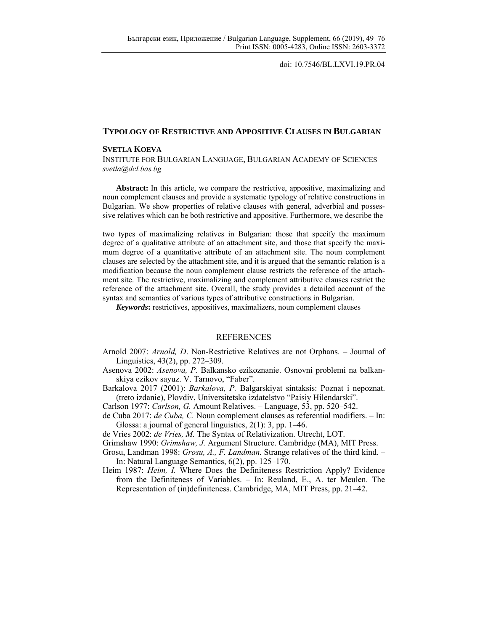doi: 10.7546/BL.LXVI.19.PR.04

## **TYPOLOGY OF RESTRICTIVE AND APPOSITIVE CLAUSES IN BULGARIAN**

## **SVETLA KOEVA**

INSTITUTE FOR BULGARIAN LANGUAGE, BULGARIAN ACADEMY OF SCIENCES *svetla@dcl.bas.bg* 

**Abstract:** In this article, we compare the restrictive, appositive, maximalizing and noun complement clauses and provide a systematic typology of relative constructions in Bulgarian. We show properties of relative clauses with general, adverbial and possessive relatives which can be both restrictive and appositive. Furthermore, we describe the

two types of maximalizing relatives in Bulgarian: those that specify the maximum degree of a qualitative attribute of an attachment site, and those that specify the maximum degree of a quantitative attribute of an attachment site. The noun complement clauses are selected by the attachment site, and it is argued that the semantic relation is a modification because the noun complement clause restricts the reference of the attachment site. The restrictive, maximalizing and complement attributive clauses restrict the reference of the attachment site. Overall, the study provides a detailed account of the syntax and semantics of various types of attributive constructions in Bulgarian.

*Keywords***:** restrictives, appositives, maximalizers, noun complement clauses

## REFERENCES

- Arnold 2007: *Аrnold, D*. Non-Restrictive Relatives are not Orphans. Journal of Linguistics, 43(2), pp. 272–309.
- Asenova 2002: *Asenova, P.* Balkansko ezikoznanie. Osnovni problemi na balkanskiya ezikov sayuz. V. Tarnovo, "Faber".
- Barkalova 2017 (2001): *Barkalova, P.* Balgarskiyat sintaksis: Poznat i nepoznat. (treto izdanie), Plovdiv, Universitetsko izdatelstvo "Paisiy Hilendarski".
- Carlson 1977: *Carlson, G.* Amount Relatives. Language, 53, pp. 520–542.
- de Cuba 2017: *de Cuba, C.* Noun complement clauses as referential modifiers. In: Glossa: a journal of general linguistics, 2(1): 3, pp. 1–46.
- de Vries 2002: *de Vries, M.* The Syntax of Relativization. Utrecht, LOT.
- Grimshaw 1990: *Grimshaw, J.* Argument Structure. Cambridge (MA), MIT Press.
- Grosu, Landman 1998: *Grosu, A., F. Landman.* Strange relatives of the third kind. In: Natural Language Semantics, 6(2), pp. 125–170.
- Heim 1987: *Heim, I.* Where Does the Definiteness Restriction Apply? Evidence from the Definiteness of Variables. – In: Reuland, E., A. ter Meulen. The Representation of (in)definiteness. Cambridge, MA, MIT Press, pp. 21–42.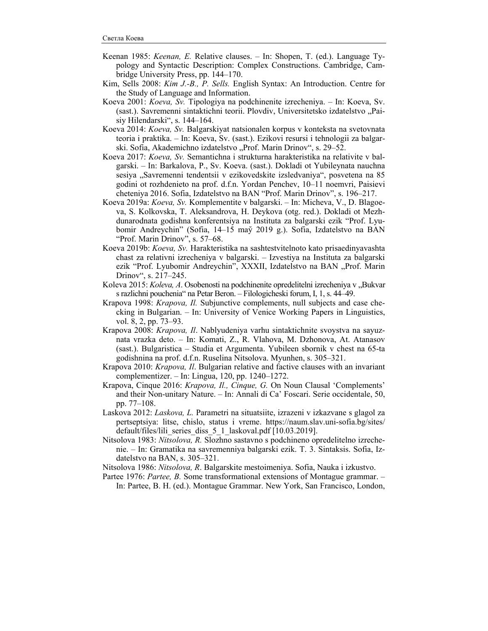- Keenan 1985: *Keenan, E.* Relative clauses. In: Shopen, T. (ed.). Language Typology and Syntactic Description: Complex Constructions. Cambridge, Cambridge University Press, pp. 144–170.
- Kim, Sells 2008: *Kim J.-B., P. Sells.* English Syntax: An Introduction. Centre for the Study of Language and Information.
- Koeva 2001: *Koeva, Sv.* Tipologiya na podchinenite izrecheniya. In: Koeva, Sv. (sast.). Savremenni sintaktichni teorii. Plovdiv, Universitetsko izdatelstvo "Paisiy Hilendarski", s. 144–164.
- Koeva 2014: *Koeva, Sv.* Balgarskiyat natsionalen korpus v konteksta na svetovnata teoria i praktika. – In: Koeva, Sv. (sast.). Ezikovi resursi i tehnologii za balgarski. Sofia, Akademichno izdatelstvo "Prof. Marin Drinov", s. 29–52.
- Koeva 2017: *Koeva, Sv.* Semantichna i strukturna harakteristika na relativite v balgarski. – In: Barkalova, P., Sv. Koeva. (sast.). Dokladi ot Yubileynata nauchna sesiya "Savremenni tendentsii v ezikovedskite izsledvaniya", posvetena na 85 godini ot rozhdenieto na prof. d.f.n. Yordan Penchev, 10–11 noemvri, Paisievi cheteniya 2016. Sofia, Izdatelstvo na BAN "Prof. Marin Drinov", s. 196–217.
- Koeva 2019a: *Koeva, Sv.* Komplementite v balgarski. In: Micheva, V., D. Blagoeva, S. Kolkovska, T. Aleksandrova, H. Deykova (otg. red.). Dokladi ot Mezhdunarodnata godishna konferentsiya na Instituta za balgarski ezik "Prof. Lyubomir Andreychin" (Sofia, 14–15 may̆ 2019 g.). Sofia, Izdatelstvo na BAN "Prof. Marin Drinov", s. 57–68.
- Koeva 2019b: *Koeva, Sv.* Harakteristika na sashtestvitelnoto kato prisaedinyavashta chast za relativni izrecheniya v balgarski. – Izvestiya na Instituta za balgarski ezik "Prof. Lyubomir Andreychin", XXXII, Izdatelstvo na BAN "Prof. Marin Drinov", s. 217–245.
- Koleva 2015: *Koleva, A.* Osobenosti na podchinenite opredelitelni izrecheniya v "Bukvar s razlichni pouchenia" na Petar Beron. – Filologicheski forum, I, 1, s. 44–49.
- Krapova 1998: *Krapova, Il.* Subjunctive complements, null subjects and case checking in Bulgarian. – In: University of Venice Working Papers in Linguistics, vol. 8, 2, pp. 73–93.
- Krapova 2008: *Krapova, Il*. Nablyudeniya varhu sintaktichnite svoystva na sayuznata vrazka deto. – In: Komati, Z., R. Vlahova, M. Dzhonova, At. Atanasov (sast.). Bulgaristica – Studia et Argumenta. Yubileen sbornik v chest na 65-ta godishnina na prof. d.f.n. Ruselina Nitsolova. Myunhen, s. 305–321.
- Krapova 2010: *Krapova, Il*. Bulgarian relative and factive clauses with an invariant complementizer. – In: Lingua, 120, pp. 1240–1272.
- Krapova, Cinque 2016: *Krapova, Il., Cinque, G.* On Noun Clausal 'Complements' and their Non-unitary Nature. – In: Annali di Ca' Foscari. Serie occidentale, 50, pp. 77–108.
- Laskova 2012: *Laskova, L.* Parametri na situatsiite, izrazeni v izkazvane s glagol za pertseptsiya: litse, chislo, status i vreme. https://naum.slav.uni-sofia.bg/sites/ default/files/lili\_series\_diss\_5\_1\_laskoval.pdf [10.03.2019].
- Nitsolova 1983: *Nitsolova, R.* Slozhno sastavno s podchineno opredelitelno izrechenie. – In: Gramatika na savremenniya balgarski ezik. T. 3. Sintaksis. Sofia, Izdatelstvo na BAN, s. 305–321.

Nitsolova 1986: *Nitsolova, R*. Balgarskite mestoimeniya. Sofia, Nauka i izkustvo.

Partee 1976: *Partee, B.* Some transformational extensions of Montague grammar. – In: Partee, B. H. (ed.). Montague Grammar. New York, San Francisco, London,